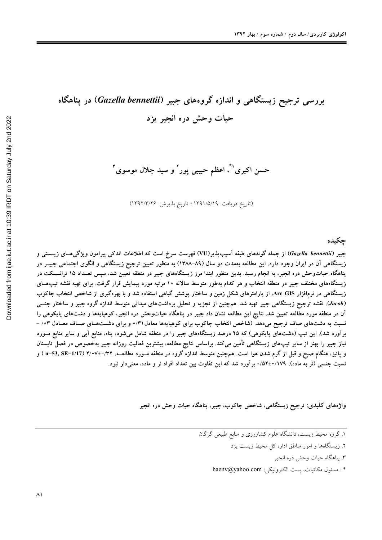## بررسی ترجیح زیستگاهی و اندازه گروههای جبیر (Gazella bennettii) در پناهگاه حیات وحش دره انجیر یزد

حسن اکبری<sup>'</sup>"، اعظم حبیبی پور<sup>۲</sup> و سید جلال موسوی<sup>۳</sup>

(تاريخ دريافت: ١٣٩١/٥/١٩ ؛ تاريخ پذيرش: ١٣٩٢/٣/٢۶)

حكىدە

جبیر (Gazella bennettii) از جمله گونههای طبقه اَسیبپذیر(VU) فهرست سرخ است که اطلاعات اندکی پیرامون ویژگی۵حای زیـــستی و زیستگاهی آن در ایران وجود دارد. این مطالعه بهمدت دو سال (۸۹–۱۳۸۸) به منظور تعیین ترجیح زیستگاهی و الگوی اجتماعی جبیـر در پناهگاه حیاتوحش دره انجیر، به انجام رسید. بدین منظور ابتدا مرز زیستگاههای جبیر در منطقه تعیین شد، سپس تعـداد ۱۵ ترانــسکت در زیستگاههای مختلف جبیر در منطقه انتخاب و هر کدام بهطور متوسط سالانه ۱۰ مرتبه مورد پیمایش قرار گرفت. برای تهیه نقشه تیپهای زیستگاهی در نرمافزار Arc GIS، از پارامترهای شکل زمین و ساختار پوشش گیاهی استفاده شد و با بهرهگیری از شاخص انتخاب جاکوب (Jacob)، نقشه ترجیح زیستگاهی جبیر تهیه شد. همچنین از تجزیه و تحلیل برداشتهای میدانی متوسط اندازه گروه جبیر و ساختار جنسی آن در منطقه مورد مطالعه تعیین شد. نتایج این مطالعه نشان داد جبیر در پناهگاه حیاتوحش دره انجیر، کوهپایهها و دشتهای پایکوهی را نسبت به دشتهای صاف ترجیح میدهد. (شاخص انتخاب جاکوب برای کوهپایهها معادل ۳۱/۰ و برای دشتهای صاف معادل ۰۳/ -برآورد شد). این تیپ (دشتهای پایکوهی) که ۲۵ درصد زیستگاههای جبیر را در منطقه شامل میشود، پناه، منابع آبی و سایر منابع مــورد نیاز جبیر را بهتر از سایر تیپهای زیستگاهی تأمین میکند. براساس نتایج مطالعه، بیشترین فعالیت روزانه جبیر بهخصوص در فصل تابستان و یائیز، هنگام صبح و قبل از گرم شدن هوا است. همچنین متوسط اندازه گروه در منطقه مـورد مطالعــه، ۲۲/۰۷±۰/۳۲ (1/17=53, SE) و نسبت جنسی (نر به ماده)، ۰/۵۲±۰/۱۷۹برآورد شد که این تفاوت بین تعداد افراد نر و ماده، معنیدار نبود.

واژههای کلیدی: ترجیح زیستگاهی، شاخص جاکوب، جبیر، پناهگاه حیات وحش دره انجیر

- ۲. زیستگاهها و امور مناطق اداره کل محیط زیست یزد
	- ۳. يناهگاه حيات وحش دره انجير
- \*: مسئول مكاتبات، يست الكترونيكي: haenv@yahoo.com

۱. گروه محیط زیست، دانشگاه علوم کشاورزی و منابع طبیعی گرگان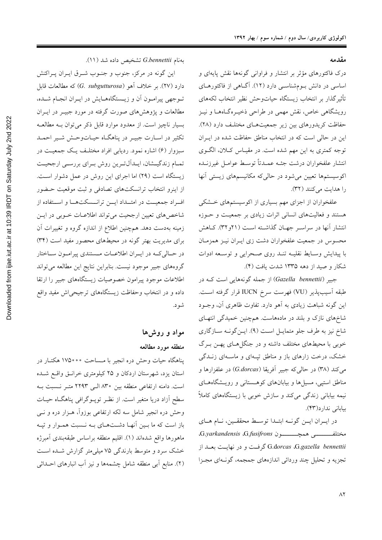مقدمه

درک فاکتورهای مؤثر بر انتشار و فراوانی گونهها نقش پایهای و اساسی در دانش بومشناسی دارد (۱۲). آگـاهی از فاکتورهـای تأثيرگذار بر انتخاب زيستگاه حياتوحش نظير انتخاب لكههاى رویشگاهی خاص، نقش مهمی در طراحی ذخیـرهگـاههـا و نیـز حفاظت کریدورهای بین زیر جمعیتهای مختلـف دارد (۲۸). این در حالی است که در انتخاب مناطق حفاظت شده در ایـران توجه کمتری به این مهم شده است. در مقیـاس کـلان، الگـوی انتشار علفخواران درشت جثـه عمـدتاً توسـط عوامـل غيرزنـده اکوسیستمها تعیین میشود در حالی که مکانیسمهای زیستی آنها را هدایت می کنند (٣٢).

علفخواران از اجزای مهم بسیاری از اکوسیستمهای خشکی هستند و فعالیتهای انسانی اثرات زیادی بر جمعیت و حـوزه انتشار آنها در سراسـر جهـان گذاشـته اسـت (۲۱و۳۲). كـاهش محسوس در جمعیت علفخواران دشت زی ایـران نیـز همزمـان با پیدایش وسـایط نقلیــه تنــد روی صــحرایی و توســعه ادوات شکار و صید از دهه ۱۳۳۵ شدت یافت (۴).

جبیر (Gazella bennettii) از جمله گونههایی است کـه در طبقه آسيبپذير (VU) فهرست سرخ IUCN قرار گرفته است. این گونه شباهت زیادی به آهو دارد. تفاوت ظاهری آن، وجـود شاخهای نازک و بلند در مادههاست. همچنین خمیدگی انتهای شاخ نیز به طرف جلو متمایـل اسـت (۹). ایـنگونـه سـازگاری خوبی با محیطهای مختلف داشته و در جنگل(حای پهــن بــرگ خشک، درخت زارهای باز و مناطق تپـهای و ماسـهای زنــدگی میکند (۳۸) در حالیکه جبیر آفریقا (G.dorcas) در علفزارها و مناطق استپی، مسیل ها و بیابانهای کوهستانی و رویشگاههای نیمه بیابانی زندگی میکند و سازش خوبی با زیستگاههای کاملاً بياباني ندارد(۴۳).

در ايـران ايـن گونـه ابتـدا توسـط محققـين، نـام هـاي مختلفـــــــــــــــــــــــــون G.yarkandensis G.fusifrons، G.dorcas ،G.gazella bennettii كرفت و در نهايت بعــد از تجزیه و تحلیل چند وردائی اندازههای جمجمه، گونـهای مجـزا

بهنام G.bennettii تشخيص داده شد (١١).

این گونه در مرکز، جنوب و جنـوب شــرق ایــران پــراکنش دارد (۲۷). بر خلاف اَهو (G. subgutturosa) که مطالعات قابل تـوجهي پيرامـون أن و زيـستگاههـايش در ايـران انجـام شـده، مطالعات و پژوهشهای صورت گرفته در مورد جبیــر در ایــران بسیار ناچیز است. از معدود موارد قابل ذکر میتوان بـه مطالعـه تکثیر در اسـارت جبیـر در پناهگـاه حیـاتوحـش شـیر احمـد سبزوار (۶) اشاره نمود. ردیابی افراد مختلـف یـک جمعیـت در تمـام زندگیـشان، ایـداَلتـرین روش بـرای بررسـی ارجحیـت زیستگاه است (۲۹) اما اجرای این روش در عمل دشوار است. از اینرو انتخاب ترانسکتهای تصادفی و ثبت موقعیت حـضور اف راد جمعیت در امتـداد ایــن ترانــسکتهــا و اسـتفاده از شاخصهای تعیین ارجحیت می تواند اطلاعـات خـوبی در ایــن زمینه بهدست دهد. همچنین اطلاع از اندازه گروه و تغییرات آن برای مدیریت بهتر گونه در محیطهای محصور مفید است (۳۴) در حـالي كــه در ايــران اطلاعــات مــستندى پيرامــون ســاختار گروههای جبیر موجود نیست. بنابراین نتایج این مطالعه میتواند اطلاعات موجود پیرامون خصوصیات زیستگاههای جبیر را ارتقا داده و در انتخاب وحفاظت زیستگاههای ترجیحی اش مفید واقع شو د.

> مواد و روشها منطقه مورد مطالعه

پناهگاه حیات وحش دره انجیر با مـساحت •••۱۷۵ هکتـار در استان یزد، شهرستان اردکان و ۲۵ کیلومتری خرانـق واقــع شــده است. دامنه ارتفاعی منطقه بین ۸۳۰ الـی ۲۲۹۳ متـر نـسبت بـه سطح آزاد دریا متغیر است. از نظـر توپــوگرافی پناهگــاه حیــات وحش دره انجیر شامل سه لکه ارتفاعی بوزواً، هـزار دره و نــی باز است که ما بـین آنهـا دشـتهـای بـه نـسبت همـوار و تپـه ماهورها واقع شدهاند (١). اقليم منطقه براساس طبقهبندى أمبرژه خشک سرد و متوسط بارندگی ۷۵ میلی متر گزارش شــده اســت (٢). منابع أبي منطقه شامل چشمهها و نيز أب انبارهاي احــداثي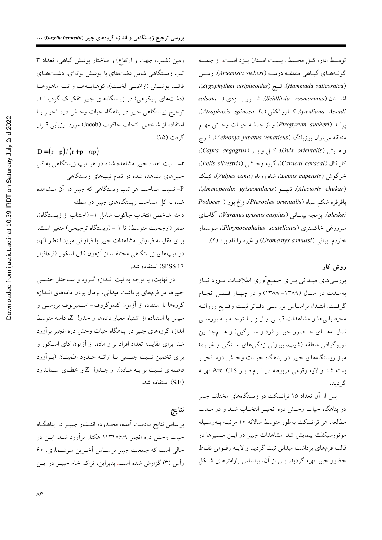زمین (شیب، جهت و ارتفاع) و ساختار پوشش گیاهی، تعداد ۳ تیپ زیستگاهی شامل دشتهای با پوشش بوتهای، دشتهای فاقــد پوشــش (اراضــي لخــت)، كوهپايــههــا و تپــه ماهورهــا (دشتهای پایکوهی) در زیستگاههای جبیر تفکیک گردیدنـد. ترجیح زیستگاهی جبیر در پناهگاه حیات وحـش دره انجیــر بــا استفاده از شاخص انتخاب جاكوب (Jacob) مورد ارزيابي قـرار گر فت (٢۵):

 $D = (r-p)/(r+p-\gamma rp)$ r= نسبت تعداد جبیر مشاهده شده در هر تیپ زیستگاهی به کل جبیرهای مشاهده شده در تمام تیپهای زیستگاه<sub>ی</sub> P=نسبت مساحت هر تیپ زیستگاهی که جبیر در آن مـشاهده شده به کل مساحت زیستگاههای جبیر در منطقه دامنه شاخص انتخاب جاكوب شامل ١- (اجتناب از زيـستگاه)، صفر (ارجحیت متوسط) تا ١ + (زیستگاه ترجیحی) متغیر است. برای مقایسه فراوانی مشاهدات جبیر با فراوانی مورد انتظار آنها، در تیپهای زیستگاهی مختلف، از آزمون کای اسکور (نرمافزار SPSS 17) استفاده شد.

در نهایت، با توجه به ثبت انـدازه گـروه و سـاختار جنـسی جبیرها در فرمهای برداشت میدانی، نرمال بودن دادههای انـدازه گروهها با استفاده از آزمون کلموگروف– اسـمیرنوف بررسـی و سپس با استفاده از اشتباه معیار دادهها و جدول Z، دامنه متوسط اندازه گروههای جبیر در پناهگاه حیات وحش دره انجیر برآورد شد. برای مقایسه تعداد افراد نر و ماده، از آزمون کای اسکور و برای تخمین نسبت جنسی بـا ارائـه حـدود اطمینـان (بـرآورد فاصلهای نسبت نر بـه مـاده)، از جـدول Z و خطـای اسـتاندارد (S.E) استفاده شد.

نتايج براساس نتایج بهدست آمده، محـدوده انتـشار جبیــر در پناهگــاه حیات وحش دره انجیر ۱۴۳۴۰۶/۹ هکتار برآورد شـد. ایــن در حالي است كه جمعيت جبير براسـاس آخـرين سرشـماري، ۶۰ رأس (٣) گزارش شده است. بنابراین، تراکم خام جبیـر در ایــن

توسط اداره كل محيط زيست استان يـزد اسـت. از جملـه گونـههـاي گيـاهي منطقـه درمنـه (Artemisia sieberi)، رمـس (Hammada salicornica)، قيج (Zygophyllum atriplicoides)، (yazdiana Assadi)، كاروانكش (Atraphaxis spinosa L.). پرنــد (Ptropyrum aucheri) و از جملــه حيــات وحــش مهــم منطقه می توان یوزپلنگ (Acinonyx jubatus venaticus)، قــوچ و مسیش (Ovis orientalis)، کسل و ب (Capra aegagrus)، كاراكال (Caracal caracal)، گربه وحـشى (Felis silvestris)، خرگوش (Lepus capensis)، شاه روباه (Vulpes cana)، کبک (Alectoris chukar)، تيهـو (Ammoperdix griseogularis)، باقرقره شکم سیاه (Pterocles orientalis)، زاغ بور ( Podoces pleskei)، بزمجه بياباني (Varanus griseus caspius)، آگاماي سروزغی خاکستری (Phrynocephalus scutellatus)، سوسمار خاردم ایرانی (Uromastyx asmussi) و غیره را نام برد (۲).

## روش کار

بررسیهای میــدانی بــرای جمــع|َوری اطلاعــات مــورد نیــاز به ملت دو سال (۱۳۸۹- ۱۳۸۸) و در چهار فصل انجام گرفت. ابتـدا، براسـاس بررسـي دفـاتر ثبـت وقـايع روزانــه محیطبانی ها و مشاهدات قبلبی و نیـز بـا توجـه بـه بررسـی نمایــههــای حــضور جبیــر (رد و ســرگین) و هــمچنــین توپوگرافی منطقه (شیب، بیرونی زدگیهای سنگی و غیـره) مرز زیستگاههای جبیر در پناهگاه حیـات وحـش دره انجیــر بسته شد و لایه رقومی مربوطه در نـرمافـزار Arc GIS تهیــه گ دىد.

پس از آن تعداد ۱۵ ترانسکت در زیستگاههای مختلف جبیر در پناهگاه حیات وحـش دره انجیـر انتخـاب شــد و در مــدت مطالعه، هر ترانسکت بهطور متوسط سالانه ۱۰ مرتبـه بــهوســیله موتورسیکلت پیمایش شد. مشاهدات جبیر در ایـن مـسیرها در قالب فرمهای برداشت میدانی ثبت گردید و لایـه رقـومی نقـاط حضور جبیر تهیه گردید. پس از آن، براساس پارامترهای شکل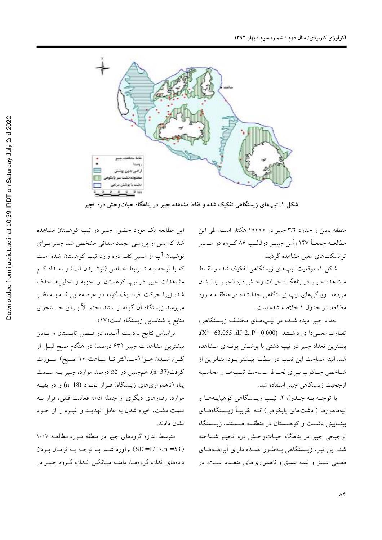

شکل ۱. تیپهای زیستگاهی تفکیک شده و نقاط مشاهده جبیر در پناهگاه حیاتوحش دره انجیر

منطقه پایین و حدود ۳/۴ جبیر در ۱۰۰۰۰ هکتار است. طی این مطالعــه جمعــاً ۱۴۷ رأس جيبــر درقالــب ۸۶ گــروه در مــسير ترانسکتهای معین مشاهده گردید.

شکل ۱، موقعیت تیپهای زیستگاهی تفکیک شده و نقـاط مـشاهده جبيـر در پناهگـاه حيـات وحـش دره انجيـر را نــشان میدهد. ویژگیهای تیپ زیستگاهی جدا شده در منطقـه مـورد مطالعه، در جدول ۱ خلاصه شده است.

تعداد جبیر دیده شـده در تیـپهـای مختلـف زیـستگاهی،  $(X^2=63.055, df=2, P=0.000)$  تفــاوت معنــی داری داشــتند (X<sup>2</sup>= 63.055 بیشترین تعداد جبیر در تیپ دشتی با پوشش بوت1ای مشاهده شد. البته مساحت این تیپ در منطقـه بیـشتر بـود، بنـابراین از شباخص جباكوب ببراي لحباظ مساحت تيب هبا و محاسبه ارجحیت زیستگاهی جبیر استفاده شد.

با توجـه بـه جـدول ٢، تيـب زيـستگاهي كوهپايـههـا و تیهماهورها ( دشتهای پایکوهی) کـه تقریبـاً زیــستگاههــای بینــابینی دشــت و کوهــستان در منطقــه هــستند، زیــستگاه ترجيحي جبير در يناهگاه حيـاتوحـش دره انجيــر شـناخته شد. این تیپ زیـستگاهی بـهطـور عمـده دارای آبراهــههـای فصلي عميق و نيمه عميق و ناهمواريهاي متعـدد اسـت. در

این مطالعه یک مورد حضور جبیر در تیپ کوهستان مشاهده شد که پس از بررسی مجدد میدانی مشخص شد جبیر بـرای نوشیدن آب از مسیر کف دره وارد تیپ کوهستان شده است که با توجه بـه شـرایط خـاص (نوشـیدن آب) و تعـداد کـم مشاهدات جبیر در تیپ کوهستان از تجزیه و تحلیلها حذف شد، زیرا حرکت افراد یک گونه در عرصههایی کـه بـه نظـر مىرىسد زيستگاه أن گونه نيـستند احتمـالاً بــراي جـستجوي منابع یا شناسایی زیستگاه است(۱۷).

براساس نتایج بهدست آمـده، در فـصل تابـستان و پـاییز بیشترین مشاهدات جبیر (۶۳ درصد) در هنگام صبح قبـل از گـرم شـدن هـوا (حـداكثر تـا سـاعت ١٠ صـبح) صـورت گرفت(n=37). همچنین در ۵۵ درصد موارد، جبیر بـه ســمت پناه (ناهمواریهای زیستگاه) فـرار نمـود (n=18) و در بقیـه موارد، رفتارهای دیگری از جمله ادامه فعالیت قبلی، فرار بــه سمت دشت، خیره شدن به عامل تهدیـد و غیـره را از خـود نشان دادند.

متوسط اندازه گروههای جبیر در منطقه مـورد مطالعـه ۲/۰۷ ( SE = 1/17,n = 53) بر آورد شد. بـا توجـه بـه نرمـال بـودن دادههای اندازه گروههـا، دامنــه میــانگین انــدازه گــروه جبیــر در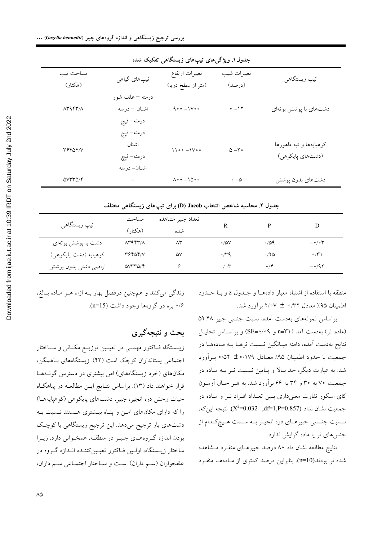| جدوں ہ. ویژ نے مای نیپ مای ریسنگ می تفعیف سدہ |                                                   |                                                                                          |                       |                                             |  |  |  |
|-----------------------------------------------|---------------------------------------------------|------------------------------------------------------------------------------------------|-----------------------|---------------------------------------------|--|--|--|
| مساحت تيپ<br>(هكتار)                          | تیپهای گیاهی                                      | تغييرات ارتفاع<br>(متر از سطح دریا)                                                      | تغييرات شيب<br>(درصد) | تیپ زیستگاهی                                |  |  |  |
| $\Lambda$ rarr/ $\Lambda$                     | درمنه – علف شور<br>اشنان – درمنه<br>درمنه- قيچ    | $\mathop{}\!\mathsf{q}\circ\circ\ -\mathop{}\!\mathsf{1}\mathop{}\!\mathsf{V}\circ\circ$ | $-17$                 | دشتهای با پوشش بوتهای                       |  |  |  |
| <b>٣۶۴۵۴/V</b>                                | درمنه- قيچ<br>اشنان<br>درمنه- قيچ<br>اشنان- درمنه | $1100 - 1000$                                                                            | $\Delta - 7$          | كوهپايهها و تپه ماهورها<br>(دشتهاي پايكوهي) |  |  |  |
| <b>OVTTO/F</b>                                |                                                   | $\Lambda \circ \circ -10 \circ \circ$                                                    | $\circ$ $-\Delta$     | دشتهای بدون پوشش                            |  |  |  |

يتجون

جدول ۲. محاسبه شاخص انتخاب Jacob (D) برای تیپهای زیستگاهی مختلف

| تیپ زیستگاهی          | مساحت                     | تعداد جبير مشاهده |                          |             |                         |
|-----------------------|---------------------------|-------------------|--------------------------|-------------|-------------------------|
|                       | (هکتار)                   | شده               |                          |             | D                       |
| دشت با پوشش بوتهای    | $\Lambda$ ۳۹۴۳/ $\Lambda$ | $\wedge^{\star}$  | $\circ$ /0V              | $\circ$ /09 | $-\circ/\circ \Upsilon$ |
| كوهپايه (دشت پايكوهي) | 36404/7                   | ۵۷                | $\sim$ / $\sim$ 9        | $\circ$ /۲۵ | $\circ/ \tilde{r}$      |
| اراضي دشتي بدون پوشش  | <b>OVTTO/F</b>            |                   | $\circ / \circ \Upsilon$ | $\circ$ /۴  | $-0.97$                 |

منطقه با استفاده از اشتباه معیار دادههـا و جـلـول z و بـا حـلـود اطمینان ۹۵٪ معادل ۳۲/۰ ± ۲/۰۷ برآورد شد.

براساس نمونههای بهدست آمده، نسبت جنسی جبیر ۵۲:۴۸ (ماده: نر) بهدست آمد ( n=۳۱ و ۰/۰۹=SE) و براسـاس تحليـل نتايج بهدست آمده، دامنه ميـانگين نـسبت نرهـا بــه مـادههـا در جمعیت با حدود اطمینان ۹۵٪ معـادل ۰/۱۷۹ ± ۵٪۰ بــرآورد شد. به عبارت دیگر، حد بـالا و پـایین نـسبت نـر بــه مـاده در جمعیت ۷۰ به ۳۰ و ۳۴ به ۶۶ برآورد شد. به هـر حـال آزمـون کای اسکور تفاوت معنیداری بین تعـداد افـراد نـر و مـاده در جمعیت نشان نداد (1,857=df=1,P=0.857). نتیجه این که، نسبت جنسی جبیرهای دره انجیـر بـه سـمت هـیچکـدام از جنسهای نر یا ماده گرایش ندارد.

نتايج مطالعه نشان داد ۸۰ درصد جبيرهـاي منفـرد مـشاهده شده نر بودند(n=10). بنابراین درصد کمتری از مـادههـا منفـرد

زندگی میکنند و همچنین درفصل بهار بـه ازاء هـر مـاده بـالغ، ۰/۶ بره در گروهها وجود داشت (n=15).

بحث و نتیجهگیری

زیــستگاه فــاکتور مهمــی در تعیــین توزیــع مکــانی و ســاختار اجتماعی پستانداران کوچک است (۴۲). زیستگاههای نـاهمگن، مکانهای (خرد زیستگاههای) امن بیشتری در دسترس گونـههـا قرار خواهند داد (۱۳). براساس نتــايج ايــن مطالعــه در پناهگــاه حیات وحش دره انجیر، جبیر، دشتهای پایکوهی (کوهپایههـا) را که دارای مکانهای امـن و پنـاه بیـشتری هـستند نـسبت بـه دشتهای باز ترجیح میدهد. این ترجیح زیستگاهی با کوچک بودن اندازه گروههـاي جبيـر در منطقـه، همخـواني دارد. زيـرا ساختار زیـستگاه، اولـین فـاکتور تعیـینکننـده انـدازه گـروه در علفخواران (سم داران) است و ساختار اجتماعی سم داران،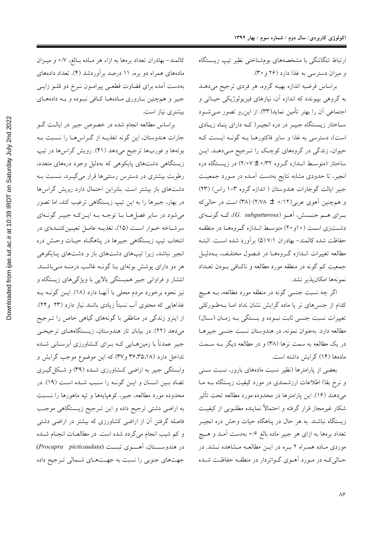ارتباط تنگاتنگی با مشخصههای بومشناختی نظیر تیپ زیستگاه و میزان دسترسی به غذا دارد (۲۶ و ۳۰).

براساس فرضيه اندازه بهينه گروه، هر فردي ترجيح مي دهـد به گروهی بپیوندد که اندازه آن، نیازهای فیزیولوژیکی حیـاتی و اجتماعی آن را بهتر تأمین نماید(۳۳). از این رو تصور مـی شـود سـاختار زیـستگاه جبیـر در دره انجیـر( کـه دارای پنـاه زیـادی است)، دسترسی به غذا و سایر فاکتورهـا بــه گونــه ایــست کــه حیوان، زندگی در گروههای کوچک را تـرجیح مـی دهـد. ایـن ساختار (متوسط انـدازه گـروه ۳۲/۰۲± ۲/۰۷) در زیـستگاه دره انجیر، تا حدودی مشابه نتایج بهدست آمـده در مـورد جمعیـت جبیر ایالت گوجارات هندوستان ( اندازه گروه ۳-۱ راس) (۲۳) و همچنین اَهوی عربی(۱۲/۰ ± ۲/۷۸) (۳۸) است در حالی که بــراي هــم جنــسش، أهــو (G. subgutturosa)، كــه گونــهاي دشتزی است (۱۰و۲) متوسط اندازه گروهها در منطقه حفاظت شده كالمند- بهادران ٧/١ (۵) برآورد شده است. البتـه مطالعه تغییرات انـدازه گـروههـا در فـصول مختلـف، بـهدلیـل جمعیت کم گونه در منطقه مورد مطالعه و ناکـافی بــودن تعــداد نمونهها امكانپذير نشد.

اگر چه نسبت جنسی گونه در منطقه مورد مطالعه، بـه هـيچ کدام از جنسهای نر یا ماده گرایش نشان نداد امـا بـهطـورکلی تغییرات نسبت جنسی ثابت نبوده و بـستگی بـه زمـان (سـال) مطالعه دارد. بهعنوان نمونه، در هندوستان نسبت جنسی جبیرهـا در یک مطالعه به سمت نرها (۳۸) و در مطالعه دیگر بـه ســمت مادهها (۱۴) گرایش داشته است.

بعضی از پارامترها (نظیر نسبت مادههای بارور، نسبت سـنی و نرخ بقا) اطلاعات ارزشمندی در مورد کیفیت زیستگاه بـه مـا میدهند (۱۶). این پارامترها در محدوده مورد مطالعه تحت تأثیر شکار غیرمجاز قرار گرفته و احتمالاً نماینده مطلـوبی از کیفیـت زیستگاه نباشند. به هر حال در پناهگاه حیات وحش دره انجیــر تعداد برهها به ازای هر جبیر ماده بالغ ۰/۶ بهدست آمـد و هــیچ موردی ماده همراه ۲ بره در این مطالعه مشاهده نشد. در حـالی کـه در مـورد آهــوی گــواتردار در منطقــه حفاظــت شــده

كالمند- بهادران تعداد برهها به ازاء هر مـاده بـالغ، ٧/٥ و ميـزان مادههای همراه دو بره، ۱۱ درصد برآوردشد (۴). تعداد دادههای بهدست آمده برای قضاوت قطعی پیرامون نـرخ دو قلـو زایـی جبیر و همچنین بـاروری مـادههـا کـافی نبـوده و بــه دادههـای بیشتری نیاز است.

براساس مطالعه انجام شده در خصوص جبیر در ایالت گـو جارات هندوستان، این گونه تغذیـه از گـراسهـا را نـسبت بـه بوتهها و فوربها ترجیح میدهد (۴۱). رویش گراسها در تیپ زیستگاهی دشتهای پایکوهی که بهدلیل وجود درههای متعدد، رطوبت بیشتری در دسترس رستنیها قرار میگیرد، نـسبت بـه دشتهای باز بیشتر است. بنابراین احتمال دارد رویش گراسها در بهار، جبیرها را به این تیپ زیستگاهی ترغیب کند، اما تصور می شود در سایر فصل هـا بـا توجـه بـه ایـن کـه جبیـر گونـهای سرشـاخه خـوار اسـت (۱۵)، تغذیـه عامـل تعیـینکننـدهای در انتخاب تيپ زيستگاهي جبيرها در پناهگـاه حيـات وحـش دره انجیر نباشد، زیرا تیپهای دشتهای باز و دشتهای پـایکوهی هر دو دارای پوشش بوتهای بـا گونــه غالـب درمنــه مــیباشــند. انتشار و فراوانی جبیر همبستگی بالایی با ویژگیهای زیستگاه و نیز نحوه برخورد مردم محلی با آنهـا دارد (۱۸). ایــن گونــه بــه غذاهایی که محتوی آب نسبتاً زیادی باشند نیاز دارد (۲۳ و۲۴). از اینرو زندگی در مناطقی با گونههای گیاهی خاص را تـرجیح میدهد (۲۲). در بیابان تار هندوستان، زیستگاههای ترجیحی جبیر عمدتاً با زمینِهـایی کـه بـرای کـشاورزی آبرسـانی شــده تداخل دارد (۳۶،۳۵،۱۸ و ۳۷) که این موضوع موجب گرایش و وابستگی جبیر به اراضی کـشاورزی شـده (۳۹) و شـکل گیـری تضاد بيين انـسان و ايــن گونــه را ســبب شــده اســت (١٩). در محدوده مورد مطالعه، جبیر، کوهپایهها و تپه ماهورها را نــسبت به اراضی دشتی ترجیح داده و این تـرجیح زیــستگاهی موجـب فاصله گرفتن آن از اراضی کشاورزی که بیشتر در اراضی دشتی و کم شیب انجام میگردد شده است. در مطالعــات انجــام شــده در هندوســـتان، آهـــوى تبــت (Procapra picticaudata) جهتهای جنوبی را نسبت به جهتهای شمالی ترجیح داده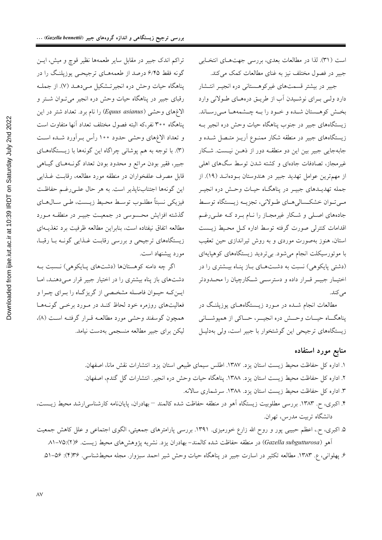است (٣١). لذا در مطالعات بعدي، بررسي جهتهاي انتخابي جبیر در فصول مختلف نیز به غنای مطالعات کمک می کند.

جبیر در بیشتر قسمتهای غیرکوهـستانی دره انجیـر انتـشار دارد ولمي بـراي نوشـيدن أب از طريـق درههـاي طـولاني وارد بخش کوهـستان شـده و خـود را بـه چـشمههـا مـیرسـاند. زیستگاههای جبیر در جنوب پناهگاه حیات وحش دره انجیر بـه زیستگاههای جبیر در منطقه شکار ممنــوع آریــز متــصل شـــده و جابهجایی جبیر بین این دو منطقـه دور از ذهــن نیـست. شـکار غیرمجاز، تصادفات جادهای و کشته شدن توسط سگهای اهلی از مهم ترین عوامل تهدید جبیر در هندوستان بودهانـد (١٩). از جمله تهدیــدهای جبیــر در یناهگــاه حیــات وحــش دره انجیــر مبي تـوان خشكـسالي هـاي طـولاني، تجزيــه زيــستگاه توسـط جادههای اصلی و شکار غیرمجـاز را نــام بــرد کــه علــی رغــم اقدامات کنترلی صورت گرفته توسط اداره ک) محیط زیست استان، هنوز بهصورت موردی و به روش تیراندازی حین تعقیب با موتورسیکلت انجام می شود. بی تردید زیستگاههای کوهپایهای (دشتی پایکوهی) نسبت به دشتهای باز پناه بیشتری را در اختیـار جبیـر قـرار داده و دسترسـی شـکارچیان را محــدودتر مے کند.

مطالعات انجام شــده در مــورد زیــستگاههــای یوزپلنـگ در پناهگاه حیــات وحــش دره انجیـــر، حــاکی از همپوشـــانی زیستگاههای ترجیحی این گوشتخوار با جبیر است، ولی بهدلیل

## تراکم اندک جبیر در مقابل سایر طعمهها نظیر قوچ و میش، ایــن گونه فقط ۶/۴۵ درصد از طعمههـای ترجیحـی پوزپلنـگ را در پناهگاه حیات وحش دره انجیرتشکیل مے دهـد (۷). از جملـه رقبای جبیر در پناهگاه حیات وحش دره انجیر می توان شتر و الاغهای وحشی (Equus asianus) را نام برد. تعداد شتر در این پناهگاه ۳۰۰ نفر،که البته فصول مختلف تعداد آنها متفاوت است و تعداد الاغهای وحشی حدود ۱۰۰ رأس بـرآورد شـده اسـت (۳). با توجه به هم پوشانی چراگاه این گونهها با زیستگاههـای جبیر، فقیر بودن مراتع و محدود بودن تعداد گونـههـای گیـاهی قابل مصرف علفخواران در منطقه مورد مطالعه، رقابت غـذايبي این گونهها اجتنابناپذیر است. به هر حال علـیرغـم حفاظـت فيزيكي نسبتاً مطلـوب توسـط محـيط زيــست، طـي ســالهــاي گذشته افزایش محسوسی در جمعیت جبیـر در منطقـه مـورد مطالعه اتفاق نيفتاده است، بنابراين مطالعه ظرفيت برد تغذيــهاي زیستگاههای ترجیحی و بررسی رقابت غـذایی گونـه بـا رقبـا، مورد پیشنهاد است.

اگر چه دامنه کوهستانها (دشتهای پایکوهی) نسبت به دشتهای باز پناه بیشتری را در اختیار جبیر قرار مـی۵هنـد، امـا ايـن كـه حيـوان فاصـله مشخـصى از گريزگـاه را بـراي چـرا و فعالیتهای روزمره خود لحاظ کنـد در مـورد برخـبی گونـههـا همچون گوسفند وحشى مورد مطالعـه قـرار گرفتـه اسـت (٨)، لیکن برای جبیر مطالعه منسجمی بهدست نیامد.

## منابع مورد استفاده

- ١. اداره كل حفاظت محيط زيست استان يزد. ١٣٨٧. اطلس سيماى طبيعي استان يزد. انتشارات نقش مانا، اصفهان. ٢. اداره كل حفاظت محيط زيست استان يزد. ١٣٨٨. پناهگاه حيات وحش دره انجير. انتشارات گل گندم، اصفهان. ٣. اداره كل حفاظت محيط زيست استان يزد. ١٣٨٨. سرشماري سالانه.
- ۴. اکبری، ح. ۱۳۸۳. بررسی مطلوبیت زیستگاه آهو در منطقه حفاظت شده کالمند –بهادران، پایاننامه کارشناسیارشد محیط زیست، دانشگاه تربیت مدرس، تهران.
- ۵. اکبری، ح.، اعظم حبیبی پور و روح الله زارع خورمیزی. ۱۳۹۱. بررسی پارامترهای جمعیتی، الگوی اجتماعی و علل کاهش جمعیت آهو (Gazella subgutturosa) در منطقه حفاظت شده كالمند- بهادران يزد. نشريه پژوهشهاى محيط زيست. ٧٥:٢/٢-٨١
	- ۶. پهلوانی، ع. ۱۳۸۳. مطالعه تکثیر در اسارت جبیر در پناهگاه حیات وحش شیر احمد سبزوار. مجله محیطشناسی. ۳۶(۴): ۵۶–۵۱.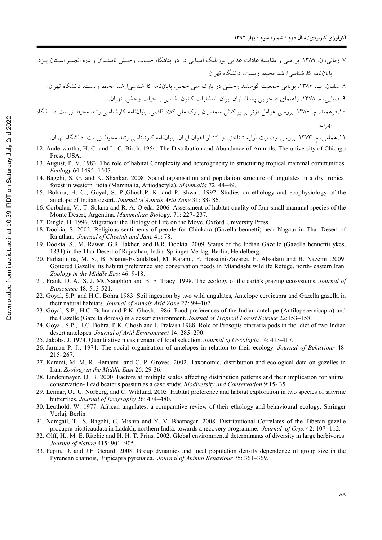۷. زمانی، ن. ۱۳۸۹. بررسی و مقایسهٔ عادات غذایی یوزیلنگ آسیایی در دو پناهگاه حیـات وحـش نایبنــدان و دره انجیــر اســتان پــزد. یایاننامه کارشناسی ارشد محیط زیست، دانشگاه تهران.

.<br>۱۰.فرهمند، م. ۱۳۸۰. بررسی عوامل مؤثر بر پراکنش سمداران پارک مل<sub>ی</sub> کلاه قاضی. پایاننامه کارشناسی|رشد محیط زیست دانـشگاه

١١.همامي، م. ١٣٧٣. بررسي وضعيت آرايه شناختي و انتشار آهوان ايران. پاياننامه كارشناسي/رشد محيط زيست. دانشگاه تهران.

- 12. Anderwartha, H. C. and L. C. Birch. 1954. The Distribution and Abundance of Animals. The university of Chicago Press, USA.
- 13. August, P. V. 1983. The role of habitat Complexity and heterogeneity in structuring tropical mammal communities. Ecology 64:1495-1507.
- 14. Bagchi, S. G. and K. Shankar. 2008. Social organisation and population structure of ungulates in a dry tropical forest in western India (Mammalia, Artiodactyla). Mammalia 72: 44-49.
- 15. Bohara, H. C., Goyal, S. P., Ghosh, P. K. and P. Shwar, 1992. Studies on ethology and ecophysiology of the antelope of Indian desert. Journal of Annals Arid Zone 31: 83-86.
- 16. Corbalan, V., T. Solana and R. A. Ojeda. 2006. Assessment of habitat quality of four small mammal species of the Monte Desert, Argentina. Mammalian Biology. 71: 227-237.
- 17. Dingle, H. 1996. Migration: the Biology of Life on the Move. Oxford University Press.
- 18. Dookia, S. 2002. Religious sentiments of people for Chinkara (Gazella bennetti) near Nagaur in Thar Desert of Rajathan. Journal of Cheetah and Jane 41: 78.
- 19. Dookia, S., M. Rawat, G.R. Jakher, and B.R. Dookia. 2009. Status of the Indian Gazelle (Gazella bennettii ykes, 1831) in the Thar Desert of Rajasthan, India. Springer-Verlag, Berlin, Heidelberg.
- 200 Farhadinina, M. S., B. Shams-Esfandabad, M. Karami, F. Hosseini-Zavarei, H. Absalam and B. Nazemi .2009. Goitered Gazella: its habitat preference and conservation needs in Miandasht wildlife Refuge, north-eastern Iran. Zoology in the Middle East 46: 9-18.
- 21. Frank, D. A., S. J. MCNaughton and B. F. Tracy. 1998. The ecology of the earth's grazing ecosystems. Journal of Bioscience 48: 513-521.
- 22. Goyal, S.P. and H.C. Bohra 1983. Soil ingestion by two wild ungulates, Antelope cervicapra and Gazella gazella in their natural habitats. Journal of Annals Arid Zone 22: 99-102.
- 23. Goyal, S.P., H.C. Bohra and P.K. Ghosh. 1986. Food preferences of the Indian antelope (Antilopecervicapra) and the Gazelle (Gazella dorcas) in a desert environment. Journal of Tropical Forest Science 22:153-158.
- 24. Goyal, S.P., H.C. Bohra, P.K. Ghosh and I. Prakash 1988. Role of Prosopis cineraria pods in the diet of two Indian desert antelopes. Journal of Arid Environment 14: 285-290.
- 25. Jakobs, J. 1974. Quantitative measurement of food selection. Journal of Oecologia 14: 413-417.
- 26. Jarman P. J., 1974. The social organisation of antelopes in relation to their ecology. Journal of Behaviour 48:  $215 - 267$ .
- 27. Karami, M. M. R. Hemami and C. P. Groves. 2002. Taxonomic, distribution and ecological data on gazelles in Iran. Zoology in the Middle East 26: 29-36.
- 28. Lindenmayer, D. B. 2000. Factors at multiple scales affecting distribution patterns and their implication for animal conservation- Lead beater's possum as a case study. *Biodiversity and Conservation* 9:15-35.
- 29. Leimar, O., U. Norberg, and C. Wiklund. 2003. Habitat preference and habitat exploration in two species of satyrine butterflies. Journal of Ecography 26: 474–480.
- 30. Leuthold, W. 1977. African ungulates, a comparative review of their ethology and behavioural ecology. Springer Verlai, Berlin.
- 31. Namgail, T., S. Bagchi, C. Mishra and Y. V. Bhatnagar. 2008. Distributional Correlates of the Tibetan gazelle procapra piciticaudata in Ladakh, northern India: towards a recovery programme. Journal of Oryx 42: 107-112.
- 32. Olff, H., M. E. Ritchie and H. H. T. Prins. 2002. Global environmental determinants of diversity in large herbivores. Journal of Nature 415: 901-905.
- 33. Pepin, D. and J.F. Gerard. 2008. Group dynamics and local population density dependence of group size in the Pyrenean chamois, Rupicapra pyrenaica. Journal of Animal Behaviour 75: 361–369.